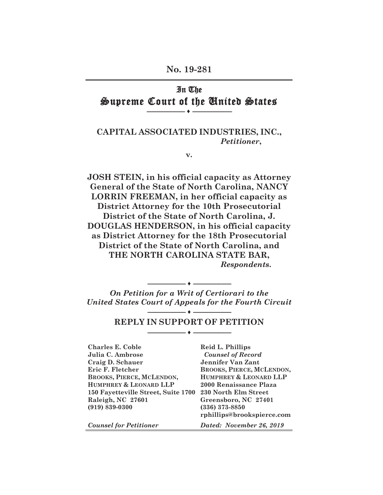### **No. 19-281**

## In The Supreme Court of the United States **-------------------------- ♦ ---------------------------**

### **CAPITAL ASSOCIATED INDUSTRIES, INC.,**  *Petitioner***,**

**v.** 

**JOSH STEIN, in his official capacity as Attorney General of the State of North Carolina, NANCY LORRIN FREEMAN, in her official capacity as District Attorney for the 10th Prosecutorial District of the State of North Carolina, J. DOUGLAS HENDERSON, in his official capacity as District Attorney for the 18th Prosecutorial District of the State of North Carolina, and THE NORTH CAROLINA STATE BAR,**  *Respondents***.**

*On Petition for a Writ of Certiorari to the United States Court of Appeals for the Fourth Circuit* 

**-------------------------- ♦ --------------------------** 

**-------------------------- ♦ --------------------------**

## **-------------------------- ♦ -------------------------- REPLY IN SUPPORT OF PETITION**

**Charles E. Coble** Reid L. Phillips **Julia C. Ambrose** *Counsel of Record*  **Craig D. Schauer Jennifer Van Zant Eric F. Fletcher BROOKS, PIERCE, MCLENDON, BROOKS, PIERCE, MCLENDON, HUMPHREY & LEONARD LLP HUMPHREY & LEONARD LLP 2000 Renaissance Plaza 150 Fayetteville Street, Suite 1700 230 North Elm Street Raleigh, NC 27601 Greensboro, NC 27401 (919) 839-0300 (336) 373-8850** 

*Counsel for Petitioner Dated: November 26, 2019* 

 **rphillips@brookspierce.com**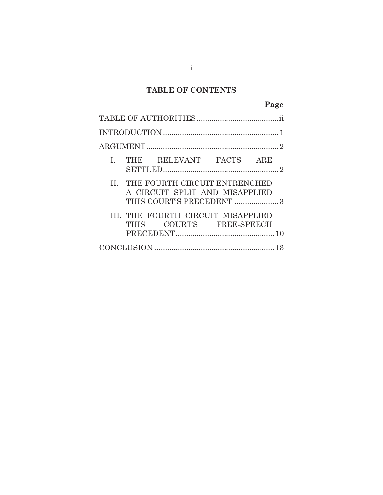## **TABLE OF CONTENTS**

|  |  | I. THE RELEVANT FACTS ARE                                           |  | $\mathcal{D}_{\cdot}$ |  |  |  |  |
|--|--|---------------------------------------------------------------------|--|-----------------------|--|--|--|--|
|  |  | II. THE FOURTH CIRCUIT ENTRENCHED<br>A CIRCUIT SPLIT AND MISAPPLIED |  |                       |  |  |  |  |
|  |  | III. THE FOURTH CIRCUIT MISAPPLIED<br>THIS COURT'S FREE-SPEECH      |  |                       |  |  |  |  |
|  |  |                                                                     |  |                       |  |  |  |  |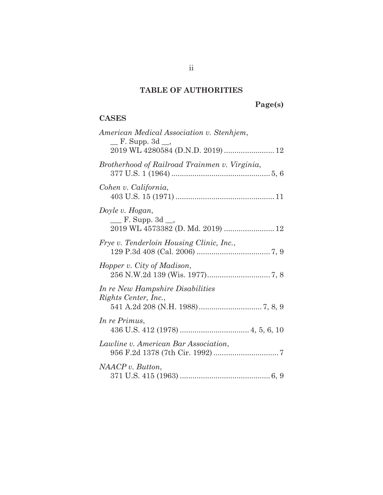## **TABLE OF AUTHORITIES**

# **Page(s)**

## **CASES**

| American Medical Association v. Stenhjem,<br>$\equiv$ F. Supp. 3d $\equiv$ ,<br>2019 WL 4280584 (D.N.D. 2019)  12 |
|-------------------------------------------------------------------------------------------------------------------|
| Brotherhood of Railroad Trainmen v. Virginia,                                                                     |
| Cohen v. California,                                                                                              |
| Doyle v. Hogan,<br>$\mu$ F. Supp. 3d $\mu$ ,                                                                      |
| <i>Frye v. Tenderloin Housing Clinic, Inc.,</i>                                                                   |
| Hopper v. City of Madison,                                                                                        |
| In re New Hampshire Disabilities<br>Rights Center, Inc.,                                                          |
| In re Primus,                                                                                                     |
| Lawline v. American Bar Association,                                                                              |
| NAACP v. Button,                                                                                                  |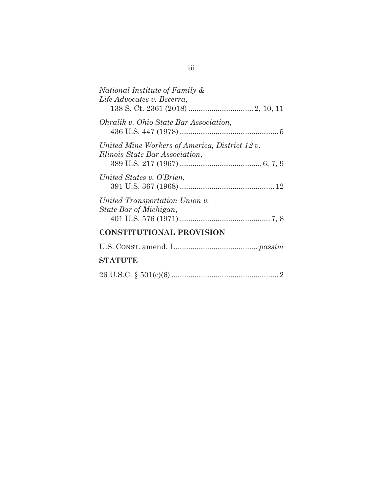| National Institute of Family &<br>Life Advocates v. Becerra,                      |
|-----------------------------------------------------------------------------------|
| Ohralik v. Ohio State Bar Association,                                            |
| United Mine Workers of America, District 12 v.<br>Illinois State Bar Association, |
| United States v. O'Brien,                                                         |
| United Transportation Union v.<br>State Bar of Michigan,                          |
| <b>CONSTITUTIONAL PROVISION</b>                                                   |
|                                                                                   |
|                                                                                   |

# **STATUTE**

|--|--|--|--|--|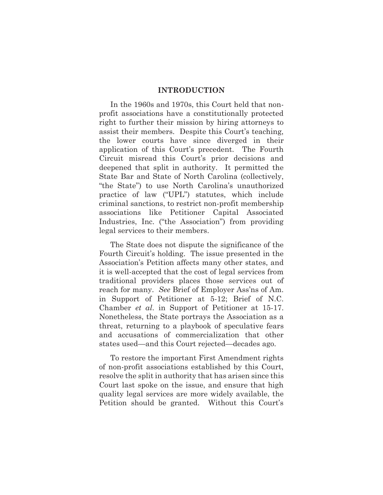#### **INTRODUCTION**

In the 1960s and 1970s, this Court held that nonprofit associations have a constitutionally protected right to further their mission by hiring attorneys to assist their members. Despite this Court's teaching, the lower courts have since diverged in their application of this Court's precedent. The Fourth Circuit misread this Court's prior decisions and deepened that split in authority. It permitted the State Bar and State of North Carolina (collectively, "the State") to use North Carolina's unauthorized practice of law ("UPL") statutes, which include criminal sanctions, to restrict non-profit membership associations like Petitioner Capital Associated Industries, Inc. ("the Association") from providing legal services to their members.

The State does not dispute the significance of the Fourth Circuit's holding. The issue presented in the Association's Petition affects many other states, and it is well-accepted that the cost of legal services from traditional providers places those services out of reach for many. *See* Brief of Employer Ass'ns of Am. in Support of Petitioner at 5-12; Brief of N.C. Chamber *et al*. in Support of Petitioner at 15-17. Nonetheless, the State portrays the Association as a threat, returning to a playbook of speculative fears and accusations of commercialization that other states used—and this Court rejected—decades ago.

To restore the important First Amendment rights of non-profit associations established by this Court, resolve the split in authority that has arisen since this Court last spoke on the issue, and ensure that high quality legal services are more widely available, the Petition should be granted. Without this Court's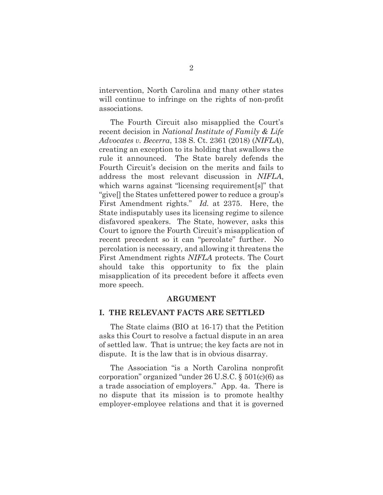intervention, North Carolina and many other states will continue to infringe on the rights of non-profit associations.

The Fourth Circuit also misapplied the Court's recent decision in *National Institute of Family & Life Advocates v. Becerra*, 138 S. Ct. 2361 (2018) (*NIFLA*), creating an exception to its holding that swallows the rule it announced. The State barely defends the Fourth Circuit's decision on the merits and fails to address the most relevant discussion in *NIFLA*, which warns against "licensing requirement[s]" that "give[] the States unfettered power to reduce a group's First Amendment rights." *Id.* at 2375. Here, the State indisputably uses its licensing regime to silence disfavored speakers. The State, however, asks this Court to ignore the Fourth Circuit's misapplication of recent precedent so it can "percolate" further. No percolation is necessary, and allowing it threatens the First Amendment rights *NIFLA* protects. The Court should take this opportunity to fix the plain misapplication of its precedent before it affects even more speech.

### **ARGUMENT**

### **I. THE RELEVANT FACTS ARE SETTLED**

The State claims (BIO at 16-17) that the Petition asks this Court to resolve a factual dispute in an area of settled law. That is untrue; the key facts are not in dispute. It is the law that is in obvious disarray.

The Association "is a North Carolina nonprofit corporation" organized "under 26 U.S.C. § 501(c)(6) as a trade association of employers." App. 4a. There is no dispute that its mission is to promote healthy employer-employee relations and that it is governed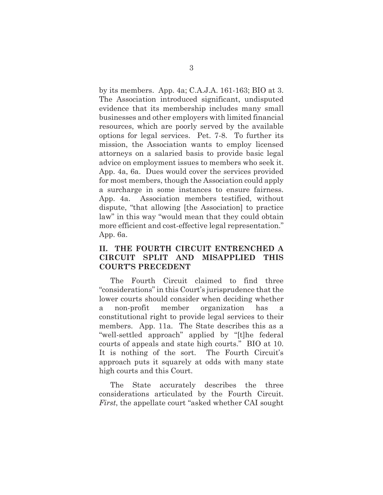by its members. App. 4a; C.A.J.A. 161-163; BIO at 3. The Association introduced significant, undisputed evidence that its membership includes many small businesses and other employers with limited financial resources, which are poorly served by the available options for legal services. Pet. 7-8. To further its mission, the Association wants to employ licensed attorneys on a salaried basis to provide basic legal advice on employment issues to members who seek it. App. 4a, 6a. Dues would cover the services provided for most members, though the Association could apply a surcharge in some instances to ensure fairness. App. 4a. Association members testified, without dispute, "that allowing [the Association] to practice law" in this way "would mean that they could obtain more efficient and cost-effective legal representation." App. 6a.

### **II. THE FOURTH CIRCUIT ENTRENCHED A CIRCUIT SPLIT AND MISAPPLIED THIS COURT'S PRECEDENT**

The Fourth Circuit claimed to find three "considerations" in this Court's jurisprudence that the lower courts should consider when deciding whether a non-profit member organization has a constitutional right to provide legal services to their members. App. 11a. The State describes this as a "well-settled approach" applied by "[t]he federal courts of appeals and state high courts." BIO at 10. It is nothing of the sort. The Fourth Circuit's approach puts it squarely at odds with many state high courts and this Court.

The State accurately describes the three considerations articulated by the Fourth Circuit. *First*, the appellate court "asked whether CAI sought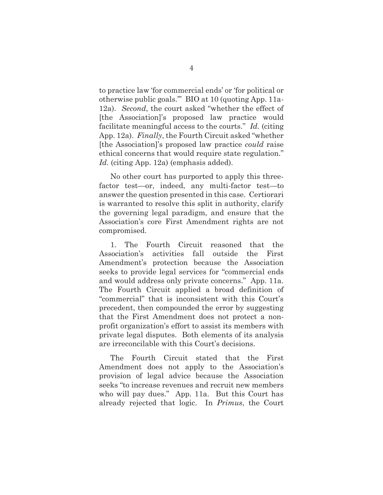to practice law 'for commercial ends' or 'for political or otherwise public goals.'" BIO at 10 (quoting App. 11a-12a). *Second*, the court asked "whether the effect of [the Association]'s proposed law practice would facilitate meaningful access to the courts." *Id.* (citing App. 12a). *Finally*, the Fourth Circuit asked "whether [the Association]'s proposed law practice *could* raise ethical concerns that would require state regulation." *Id.* (citing App. 12a) (emphasis added).

No other court has purported to apply this threefactor test—or, indeed, any multi-factor test—to answer the question presented in this case. Certiorari is warranted to resolve this split in authority, clarify the governing legal paradigm, and ensure that the Association's core First Amendment rights are not compromised.

1. The Fourth Circuit reasoned that the Association's activities fall outside the First Amendment's protection because the Association seeks to provide legal services for "commercial ends and would address only private concerns." App. 11a. The Fourth Circuit applied a broad definition of "commercial" that is inconsistent with this Court's precedent, then compounded the error by suggesting that the First Amendment does not protect a nonprofit organization's effort to assist its members with private legal disputes. Both elements of its analysis are irreconcilable with this Court's decisions.

The Fourth Circuit stated that the First Amendment does not apply to the Association's provision of legal advice because the Association seeks "to increase revenues and recruit new members who will pay dues." App. 11a. But this Court has already rejected that logic. In *Primus*, the Court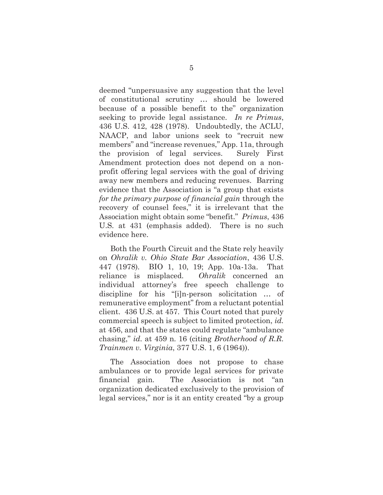deemed "unpersuasive any suggestion that the level of constitutional scrutiny … should be lowered because of a possible benefit to the" organization seeking to provide legal assistance. *In re Primus*, 436 U.S. 412, 428 (1978). Undoubtedly, the ACLU, NAACP, and labor unions seek to "recruit new members" and "increase revenues," App. 11a, through the provision of legal services. Surely First Amendment protection does not depend on a nonprofit offering legal services with the goal of driving away new members and reducing revenues. Barring evidence that the Association is "a group that exists *for the primary purpose of financial gain* through the recovery of counsel fees," it is irrelevant that the Association might obtain some "benefit." *Primus*, 436 U.S*.* at 431 (emphasis added). There is no such evidence here.

Both the Fourth Circuit and the State rely heavily on *Ohralik v. Ohio State Bar Association*, 436 U.S. 447 (1978)*.* BIO 1, 10, 19; App. 10a-13a. That reliance is misplaced. *Ohralik* concerned an individual attorney's free speech challenge to discipline for his "[i]n-person solicitation … of remunerative employment" from a reluctant potential client. 436 U.S. at 457. This Court noted that purely commercial speech is subject to limited protection, *id.*  at 456, and that the states could regulate "ambulance chasing," *id.* at 459 n. 16 (citing *Brotherhood of R.R. Trainmen v. Virginia*, 377 U.S. 1, 6 (1964)).

The Association does not propose to chase ambulances or to provide legal services for private financial gain. The Association is not "an organization dedicated exclusively to the provision of legal services," nor is it an entity created "by a group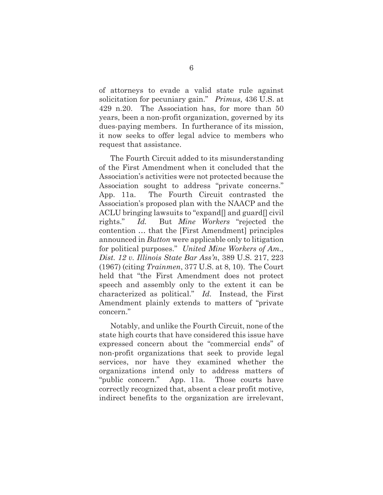of attorneys to evade a valid state rule against solicitation for pecuniary gain." *Primus*, 436 U.S. at 429 n.20. The Association has, for more than 50 years, been a non-profit organization, governed by its dues-paying members. In furtherance of its mission, it now seeks to offer legal advice to members who request that assistance.

The Fourth Circuit added to its misunderstanding of the First Amendment when it concluded that the Association's activities were not protected because the Association sought to address "private concerns." App. 11a. The Fourth Circuit contrasted the Association's proposed plan with the NAACP and the ACLU bringing lawsuits to "expand[] and guard[] civil rights." *Id.* But *Mine Workers* "rejected the contention … that the [First Amendment] principles announced in *Button* were applicable only to litigation for political purposes." *United Mine Workers of Am., Dist. 12 v. Illinois State Bar Ass'n*, 389 U.S. 217, 223 (1967) (citing *Trainmen*, 377 U.S. at 8, 10). The Court held that "the First Amendment does not protect speech and assembly only to the extent it can be characterized as political." *Id.* Instead, the First Amendment plainly extends to matters of "private concern."

Notably, and unlike the Fourth Circuit, none of the state high courts that have considered this issue have expressed concern about the "commercial ends" of non-profit organizations that seek to provide legal services, nor have they examined whether the organizations intend only to address matters of "public concern." App. 11a. Those courts have correctly recognized that, absent a clear profit motive, indirect benefits to the organization are irrelevant,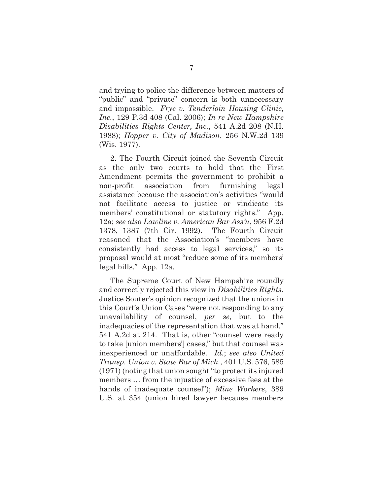and trying to police the difference between matters of "public" and "private" concern is both unnecessary and impossible. *Frye v. Tenderloin Housing Clinic, Inc.*, 129 P.3d 408 (Cal. 2006); *In re New Hampshire Disabilities Rights Center, Inc.*, 541 A.2d 208 (N.H. 1988); *Hopper v. City of Madison*, 256 N.W.2d 139 (Wis. 1977).

2. The Fourth Circuit joined the Seventh Circuit as the only two courts to hold that the First Amendment permits the government to prohibit a non-profit association from furnishing legal assistance because the association's activities "would not facilitate access to justice or vindicate its members' constitutional or statutory rights." App. 12a; *see also Lawline v. American Bar Ass'n*, 956 F.2d 1378, 1387 (7th Cir. 1992). The Fourth Circuit reasoned that the Association's "members have consistently had access to legal services," so its proposal would at most "reduce some of its members' legal bills." App. 12a.

The Supreme Court of New Hampshire roundly and correctly rejected this view in *Disabilities Rights*. Justice Souter's opinion recognized that the unions in this Court's Union Cases "were not responding to any unavailability of counsel, *per se*, but to the inadequacies of the representation that was at hand." 541 A.2d at 214. That is, other "counsel were ready to take [union members'] cases," but that counsel was inexperienced or unaffordable. *Id.*; *see also United Transp. Union v. State Bar of Mich.*, 401 U.S. 576, 585 (1971) (noting that union sought "to protect its injured members … from the injustice of excessive fees at the hands of inadequate counsel"); *Mine Workers*, 389 U.S. at 354 (union hired lawyer because members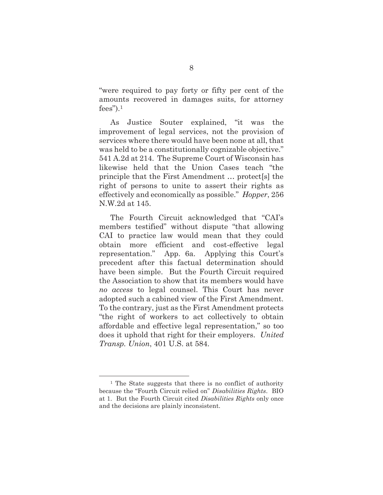"were required to pay forty or fifty per cent of the amounts recovered in damages suits, for attorney  $fees$ ").<sup>1</sup>

As Justice Souter explained, "it was the improvement of legal services, not the provision of services where there would have been none at all, that was held to be a constitutionally cognizable objective." 541 A.2d at 214. The Supreme Court of Wisconsin has likewise held that the Union Cases teach "the principle that the First Amendment … protect[s] the right of persons to unite to assert their rights as effectively and economically as possible." *Hopper*, 256 N.W.2d at 145.

The Fourth Circuit acknowledged that "CAI's members testified" without dispute "that allowing CAI to practice law would mean that they could obtain more efficient and cost-effective legal representation." App. 6a. Applying this Court's precedent after this factual determination should have been simple. But the Fourth Circuit required the Association to show that its members would have *no access* to legal counsel. This Court has never adopted such a cabined view of the First Amendment. To the contrary, just as the First Amendment protects "the right of workers to act collectively to obtain affordable and effective legal representation," so too does it uphold that right for their employers. *United Transp. Union*, 401 U.S. at 584.

<sup>1</sup> The State suggests that there is no conflict of authority because the "Fourth Circuit relied on" *Disabilities Rights*. BIO at 1. But the Fourth Circuit cited *Disabilities Rights* only once and the decisions are plainly inconsistent.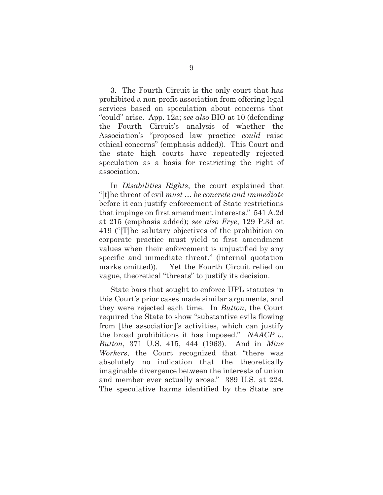3. The Fourth Circuit is the only court that has prohibited a non-profit association from offering legal services based on speculation about concerns that "could" arise. App. 12a; *see also* BIO at 10 (defending the Fourth Circuit's analysis of whether the Association's "proposed law practice *could* raise ethical concerns" (emphasis added)). This Court and the state high courts have repeatedly rejected speculation as a basis for restricting the right of association.

In *Disabilities Rights*, the court explained that "[t]he threat of evil *must … be concrete and immediate* before it can justify enforcement of State restrictions that impinge on first amendment interests." 541 A.2d at 215 (emphasis added); *see also Frye*, 129 P.3d at 419 ("[T]he salutary objectives of the prohibition on corporate practice must yield to first amendment values when their enforcement is unjustified by any specific and immediate threat." (internal quotation marks omitted))*.* Yet the Fourth Circuit relied on vague, theoretical "threats" to justify its decision.

State bars that sought to enforce UPL statutes in this Court's prior cases made similar arguments, and they were rejected each time. In *Button*, the Court required the State to show "substantive evils flowing from [the association]'s activities, which can justify the broad prohibitions it has imposed." *NAACP v. Button*, 371 U.S. 415, 444 (1963). And in *Mine Workers*, the Court recognized that "there was absolutely no indication that the theoretically imaginable divergence between the interests of union and member ever actually arose." 389 U.S. at 224. The speculative harms identified by the State are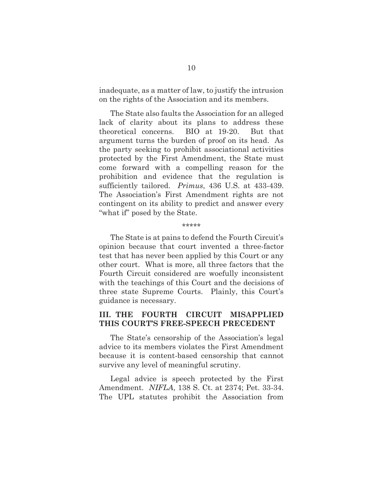inadequate, as a matter of law, to justify the intrusion on the rights of the Association and its members.

The State also faults the Association for an alleged lack of clarity about its plans to address these theoretical concerns. BIO at 19-20. But that argument turns the burden of proof on its head. As the party seeking to prohibit associational activities protected by the First Amendment, the State must come forward with a compelling reason for the prohibition and evidence that the regulation is sufficiently tailored. *Primus*, 436 U.S. at 433-439. The Association's First Amendment rights are not contingent on its ability to predict and answer every "what if" posed by the State.

#### \*\*\*\*\*

The State is at pains to defend the Fourth Circuit's opinion because that court invented a three-factor test that has never been applied by this Court or any other court. What is more, all three factors that the Fourth Circuit considered are woefully inconsistent with the teachings of this Court and the decisions of three state Supreme Courts. Plainly, this Court's guidance is necessary.

### **III. THE FOURTH CIRCUIT MISAPPLIED THIS COURT'S FREE-SPEECH PRECEDENT**

The State's censorship of the Association's legal advice to its members violates the First Amendment because it is content-based censorship that cannot survive any level of meaningful scrutiny.

Legal advice is speech protected by the First Amendment. *NIFLA*, 138 S. Ct. at 2374; Pet. 33-34. The UPL statutes prohibit the Association from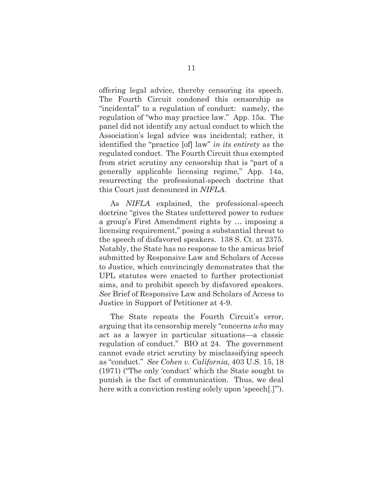offering legal advice, thereby censoring its speech. The Fourth Circuit condoned this censorship as "incidental" to a regulation of conduct: namely, the regulation of "who may practice law." App. 15a. The panel did not identify any actual conduct to which the Association's legal advice was incidental; rather, it identified the "practice [of] law" *in its entirety* as the regulated conduct. The Fourth Circuit thus exempted from strict scrutiny any censorship that is "part of a generally applicable licensing regime," App. 14a, resurrecting the professional-speech doctrine that this Court just denounced in *NIFLA*.

As *NIFLA* explained, the professional-speech doctrine "gives the States unfettered power to reduce a group's First Amendment rights by … imposing a licensing requirement," posing a substantial threat to the speech of disfavored speakers. 138 S. Ct. at 2375. Notably, the State has no response to the amicus brief submitted by Responsive Law and Scholars of Access to Justice, which convincingly demonstrates that the UPL statutes were enacted to further protectionist aims, and to prohibit speech by disfavored speakers. *See* Brief of Responsive Law and Scholars of Access to Justice in Support of Petitioner at 4-9.

The State repeats the Fourth Circuit's error, arguing that its censorship merely "concerns *who* may act as a lawyer in particular situations—a classic regulation of conduct." BIO at 24. The government cannot evade strict scrutiny by misclassifying speech as "conduct." *See Cohen v. California*, 403 U.S. 15, 18 (1971) ("The only 'conduct' which the State sought to punish is the fact of communication. Thus, we deal here with a conviction resting solely upon 'speech....'").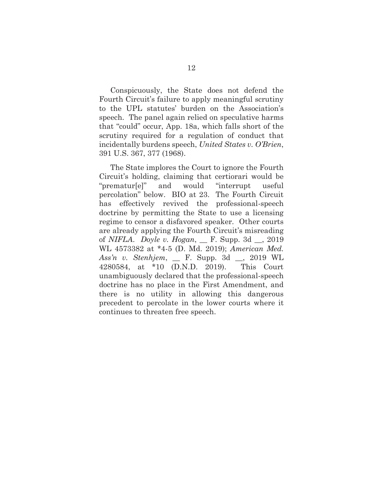Conspicuously, the State does not defend the Fourth Circuit's failure to apply meaningful scrutiny to the UPL statutes' burden on the Association's speech. The panel again relied on speculative harms that "could" occur, App. 18a, which falls short of the scrutiny required for a regulation of conduct that incidentally burdens speech, *United States v. O'Brien*, 391 U.S. 367, 377 (1968).

The State implores the Court to ignore the Fourth Circuit's holding, claiming that certiorari would be "prematur[e]" and would "interrupt useful percolation" below. BIO at 23. The Fourth Circuit has effectively revived the professional-speech doctrine by permitting the State to use a licensing regime to censor a disfavored speaker. Other courts are already applying the Fourth Circuit's misreading of *NIFLA*. *Doyle v. Hogan*, \_\_ F. Supp. 3d \_\_, 2019 WL 4573382 at \*4-5 (D. Md. 2019); *American Med. Ass'n v. Stenhjem*, \_\_ F. Supp. 3d \_\_, 2019 WL 4280584, at \*10 (D.N.D. 2019). This Court unambiguously declared that the professional-speech doctrine has no place in the First Amendment, and there is no utility in allowing this dangerous precedent to percolate in the lower courts where it continues to threaten free speech.